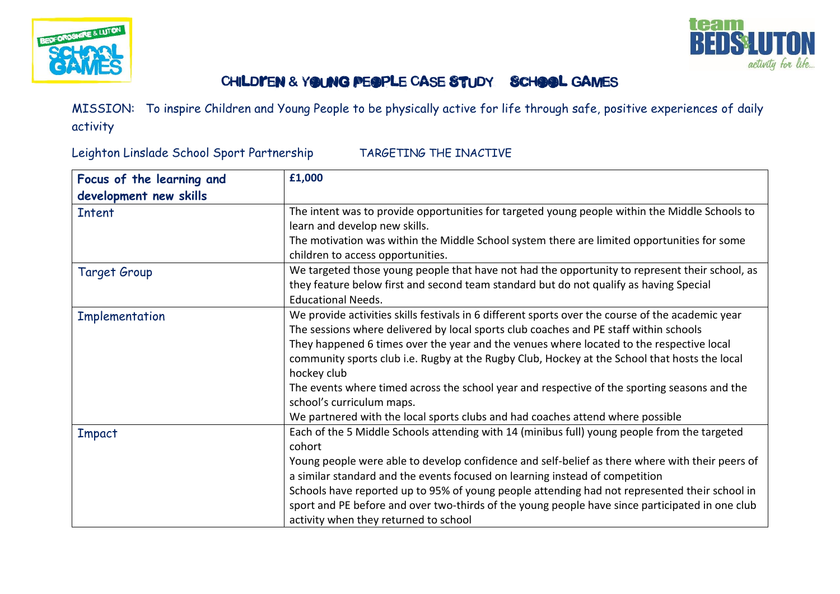



## CHILDI'EN & YOUNG PEOPLE CASE STUDY SCHOOL GAMES

MISSION: To inspire Children and Young People to be physically active for life through safe, positive experiences of daily activity

Leighton Linslade School Sport Partnership TARGETING THE INACTIVE

| Focus of the learning and | £1,000                                                                                            |
|---------------------------|---------------------------------------------------------------------------------------------------|
| development new skills    |                                                                                                   |
| <b>Intent</b>             | The intent was to provide opportunities for targeted young people within the Middle Schools to    |
|                           | learn and develop new skills.                                                                     |
|                           | The motivation was within the Middle School system there are limited opportunities for some       |
|                           | children to access opportunities.                                                                 |
| Target Group              | We targeted those young people that have not had the opportunity to represent their school, as    |
|                           | they feature below first and second team standard but do not qualify as having Special            |
|                           | <b>Educational Needs.</b>                                                                         |
| Implementation            | We provide activities skills festivals in 6 different sports over the course of the academic year |
|                           | The sessions where delivered by local sports club coaches and PE staff within schools             |
|                           | They happened 6 times over the year and the venues where located to the respective local          |
|                           | community sports club i.e. Rugby at the Rugby Club, Hockey at the School that hosts the local     |
|                           | hockey club                                                                                       |
|                           | The events where timed across the school year and respective of the sporting seasons and the      |
|                           | school's curriculum maps.                                                                         |
|                           | We partnered with the local sports clubs and had coaches attend where possible                    |
| Impact                    | Each of the 5 Middle Schools attending with 14 (minibus full) young people from the targeted      |
|                           | cohort                                                                                            |
|                           | Young people were able to develop confidence and self-belief as there where with their peers of   |
|                           | a similar standard and the events focused on learning instead of competition                      |
|                           | Schools have reported up to 95% of young people attending had not represented their school in     |
|                           | sport and PE before and over two-thirds of the young people have since participated in one club   |
|                           | activity when they returned to school                                                             |